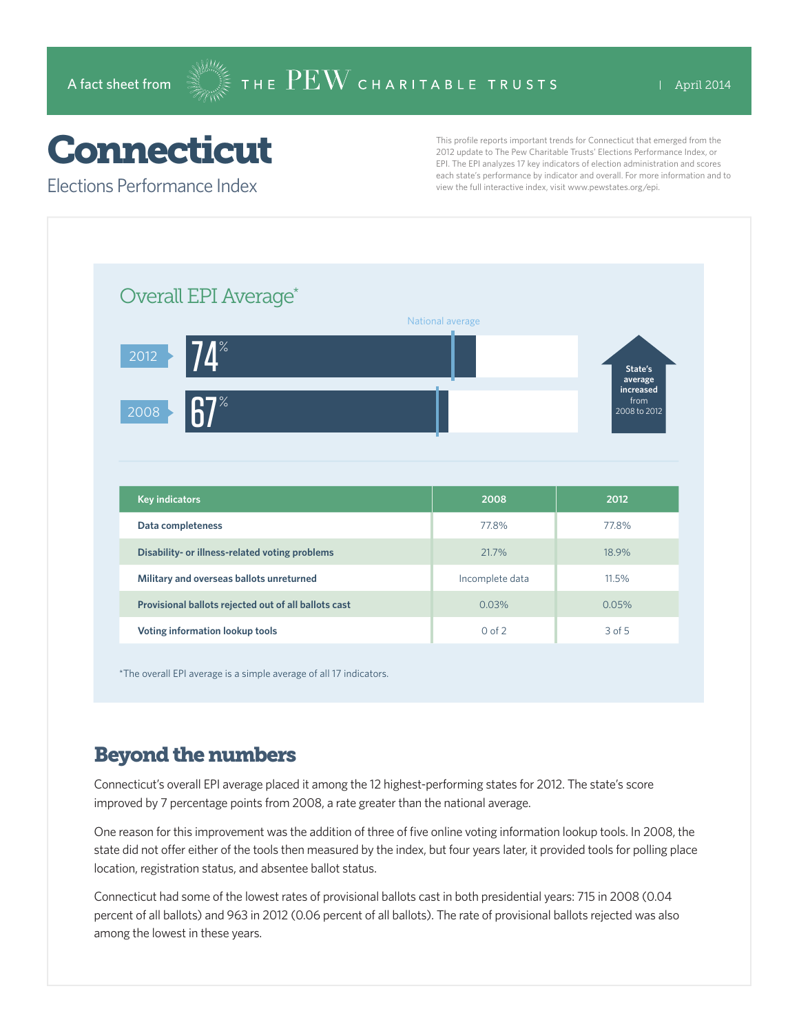## Connecticut

Elections Performance Index

This profile reports important trends for Connecticut that emerged from the 2012 update to The Pew Charitable Trusts' Elections Performance Index, or EPI. The EPI analyzes 17 key indicators of election administration and scores each state's performance by indicator and overall. For more information and to view the full interactive index, visit www.pewstates.org/epi.

| Overall EPI Average*                                 |                  |                                   |
|------------------------------------------------------|------------------|-----------------------------------|
|                                                      | National average |                                   |
| $74^\circ$<br>2012                                   |                  | State's<br>average                |
| 7 <sup>%</sup><br>2008                               |                  | increased<br>from<br>2008 to 2012 |
|                                                      |                  |                                   |
|                                                      |                  |                                   |
|                                                      |                  |                                   |
| <b>Key indicators</b>                                | 2008             | 2012                              |
| Data completeness                                    | 77.8%            | 77.8%                             |
| Disability- or illness-related voting problems       | 21.7%            | 18.9%                             |
| Military and overseas ballots unreturned             | Incomplete data  | 11.5%                             |
| Provisional ballots rejected out of all ballots cast | 0.03%            | 0.05%                             |

\*The overall EPI average is a simple average of all 17 indicators.

## Beyond the numbers

Connecticut's overall EPI average placed it among the 12 highest-performing states for 2012. The state's score improved by 7 percentage points from 2008, a rate greater than the national average.

One reason for this improvement was the addition of three of five online voting information lookup tools. In 2008, the state did not offer either of the tools then measured by the index, but four years later, it provided tools for polling place location, registration status, and absentee ballot status.

Connecticut had some of the lowest rates of provisional ballots cast in both presidential years: 715 in 2008 (0.04 percent of all ballots) and 963 in 2012 (0.06 percent of all ballots). The rate of provisional ballots rejected was also among the lowest in these years.